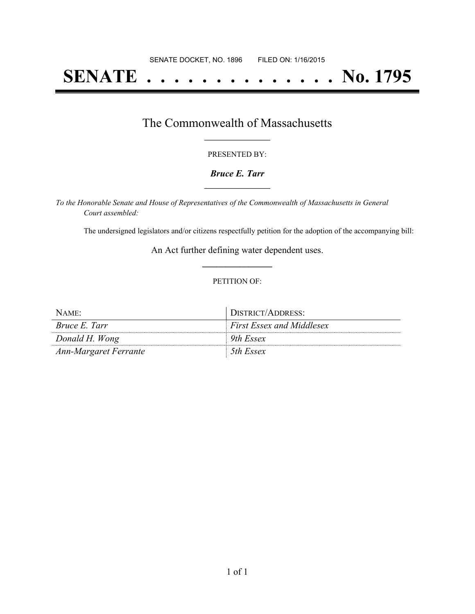# **SENATE . . . . . . . . . . . . . . No. 1795**

## The Commonwealth of Massachusetts **\_\_\_\_\_\_\_\_\_\_\_\_\_\_\_\_\_**

#### PRESENTED BY:

#### *Bruce E. Tarr* **\_\_\_\_\_\_\_\_\_\_\_\_\_\_\_\_\_**

*To the Honorable Senate and House of Representatives of the Commonwealth of Massachusetts in General Court assembled:*

The undersigned legislators and/or citizens respectfully petition for the adoption of the accompanying bill:

An Act further defining water dependent uses. **\_\_\_\_\_\_\_\_\_\_\_\_\_\_\_**

#### PETITION OF:

| NAME:                        | DISTRICT/ADDRESS:                |
|------------------------------|----------------------------------|
| <i>Bruce E. Tarr</i>         | <i>First Essex and Middlesex</i> |
| Donald H. Wong               | 9th Essex                        |
| <b>Ann-Margaret Ferrante</b> | 5th Essex                        |